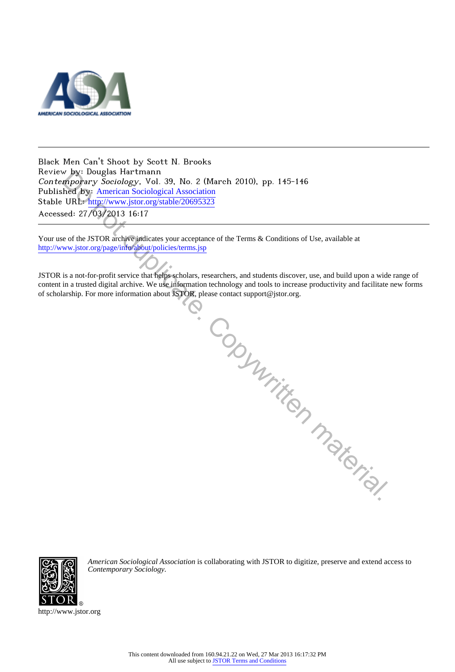

Black Men Can't Shoot by Scott N. Brooks Review by: Douglas Hartmann Contemporary Sociology, Vol. 39, No. 2 (March 2010), pp. 145-146 Published by: American Sociological Association Stable URL: http://www.jstor.org/stable/20695323 Accessed: 27/03/2013 16:17

Your use of the JSTOR archive indicates your acceptance of the Terms & Conditions of Use, available at http://www.jstor.org/page/info/about/policies/terms.jsp

JSTOR is a not-for-profit service that helps scholars, researchers, and students discover, use, and build upon a wide range of content in a trusted digital archive. We use information technology and tools to increase productivity and facilitate new forms of scholarship. For more information about JSTOR, please contact support@jstor.org.

All uses substanting t[o](http://www.jstor.org/stable/20695323?origin=JSTOR-pdf) the Co[n](http://www.jstor.org/stable/20695323?origin=JSTOR-pdf)ditions of the Conditions of the Conditions of the Con[du](http://www.jstor.org/page/info/about/policies/terms.jsp)ctions of the Conductions of the Conductions of the Conductions of the Conductions of the Conductions of the Conductions of the Conduct

*American Sociological Association* is collaborating with JSTOR to digitize, preserve and extend access to *Contemporary Sociology.*

http://www.jstor.org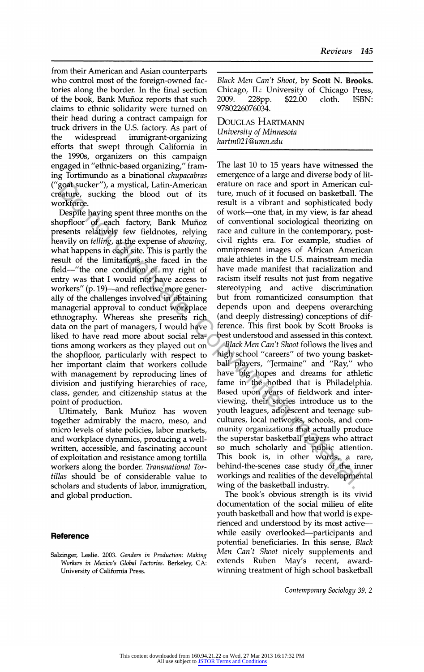from their American and Asian counterparts who control most of the foreign-owned fac-<br>tories along the border. In the final section tories along the border. In the final section<br>of the book. Bank Muños reports that such of the book, bank Munoz reports that such<br>claims to othnic solidarity were turned on claims to ethnic solidarity were turned on their head during a contract campaign for truck drivers in the U.S. factory. As part of efforts that swept through California in efforts that swept through California in the 1990s, organizers on this campaign<br>engaged in "othnic based examining" frame engaged in "ethnic-based organizing," fram ing Tortimundo as a binational chupacabras ("goat sucker"), a mystical, Latin-American creature, sucking the blood out of its workforce.<br>Despite having spent three months on the

Despite having spent three months on the shophoor of each factory, bank Mun presents relatively few fieldnotes, relying heavily on *telling*, at the expense of showing,<br>what happens in each site. This is partly the what happens in each site. This is partly the result of the limitations she faced in the field—"the one condition of my right of entry was that I would not have access to workers" (p. 19)—and reflective more generally of the challenges involved in obtaining managerial approval to conduct workplace ethnography. Whereas she presents rich data on the part of managers, I would have liked to have read more about social rela tions among workers as they played out on the shopfloor, particularly with respect to her important claim that workers collude with management by reproducing lines of division and justifying hierarchies of race, class, gender, and citizenship status at the point of production.

Ultimately, Bank Muñoz has woven together admirably the macro, meso, and micro levels of state policies, labor markets, and workplace dynamics, producing a well written, accessible, and fascinating account of exploitation and resistance among tortilla workers along the border. Transnational Tor tillas should be of considerable value to scholars and students of labor, immigration, and global production.

## **Reference**

Salzinger, Leslie. 2003. Genders in Production: Making Workers in Mexico's Global Factories. Berkeley, CA: University of California Press.

Black Men Can't Shoot, by Scott N. Brooks. Chicago, IL: University of Chicago Press,<br>2009. 228pp. \$22.00 cloth. ISBN: 2009. 228pp. \$22.00 cloth. ISBN: 9780226076034.

Douglas Hartmann University of Minnesota hartm021@umn.edu

The last 10 to 15 years have witnessed the emergence of a large and diverse body of lit erature on race and sport in American cul ture, much of it focused on basketball. The result is a vibrant and sophisticated body of work—one that, in my view, is far ahead<br>of conventional sociological theorizing on of conventional sociological theorizing or race and culture in the contemporary, pos civil rights era. For example, studies of omnipresent images of African American male athletes in the U.S. mainstream media have made manifest that racialization and racism itself results not just from negative stereotyping and active discrimination but from romanticized consumption that depends upon and deepens overarching (and deeply distressing) conceptions of dif ference. This first book by Scott Brooks is best understood and assessed in this context. Black Men Can't Shoot follows the lives and high school "careers" of two young basket ball players, "Jermaine" and "Ray," who have big hopes and dreams for athletic fame in the hotbed that is Philadelphia. Based upon years of fieldwork and inter viewing, their stories introduce us to the youth leagues, adolescent and teenage sub cultures, local networks, schools, and com munity organizations that actually produce the superstar basketball players who attract so much scholarly and public attention. This book is, in other words, a rare, behind-the-scenes case study of the inner workings and realities of the developmental wing of the basketball industry. goods.com/intended to have subsets and specifically conditions of the mean of the subject of  $\sim$  not duplicate to  $\sim$  not duplicate to  $\sim$  not any two materials of the subsets of  $\sim$  not mean and sophished theoring pop

The book's obvious strength is its vivid documentation of the social milieu of elite youth basketball and how that world is expe rienced and understood by its most activewhile easily overlooked-participants and potential beneficiaries. In this sense, Black Men Can't Shoot nicely supplements and<br>extends Ruben May's recent, awardextends Ruben May's recent, award winning treatment of high school basketbal

Contemporary Sociology 39, 2